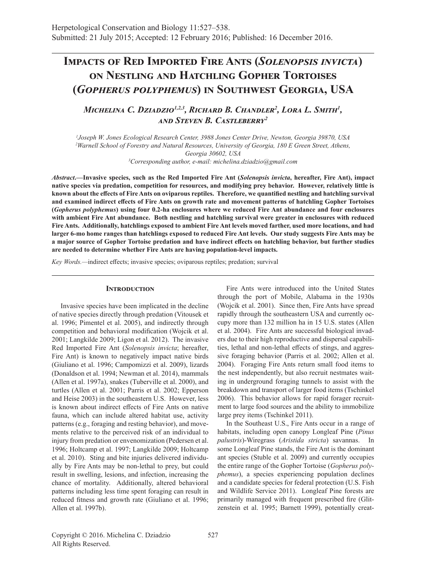# **Impacts of Red Imported Fire Ants (***Solenopsis invicta***) on Nestling and Hatchling Gopher Tortoises (***Gopherus polyphemus***) in Southwest Georgia, USA**

# *Michelina C. Dziadzio1,2,3, Richard B. Chandler<sup>2</sup> , Lora L. Smith<sup>1</sup> , and Steven B. Castleberry<sup>2</sup>*

 *Joseph W. Jones Ecological Research Center, 3988 Jones Center Drive, Newton, Georgia 39870, USA Warnell School of Forestry and Natural Resources, University of Georgia, 180 E Green Street, Athens, Georgia 30602, USA Corresponding author, e-mail: michelina.dziadzio@gmail.com*

*Abstract***.—Invasive species, such as the Red Imported Fire Ant (***Solenopsis invicta***, hereafter, Fire Ant), impact native species via predation, competition for resources, and modifying prey behavior. However, relatively little is known about the effects of Fire Ants on oviparous reptiles. Therefore, we quantified nestling and hatchling survival and examined indirect effects of Fire Ants on growth rate and movement patterns of hatchling Gopher Tortoises (***Gopherus polyphemus***) using four 0.2-ha enclosures where we reduced Fire Ant abundance and four enclosures with ambient Fire Ant abundance. Both nestling and hatchling survival were greater in enclosures with reduced Fire Ants. Additionally, hatchlings exposed to ambient Fire Ant levels moved farther, used more locations, and had larger 6-mo home ranges than hatchlings exposed to reduced Fire Ant levels. Our study suggests Fire Ants may be a major source of Gopher Tortoise predation and have indirect effects on hatchling behavior, but further studies are needed to determine whether Fire Ants are having population-level impacts.**

*Key Words.—*indirect effects; invasive species; oviparous reptiles; predation; survival

#### **INTRODUCTION**

Invasive species have been implicated in the decline of native species directly through predation (Vitousek et al. 1996; Pimentel et al. 2005), and indirectly through competition and behavioral modification (Wojcik et al. 2001; Langkilde 2009; Ligon et al. 2012). The invasive Red Imported Fire Ant (*Solenopsis invicta*; hereafter, Fire Ant) is known to negatively impact native birds (Giuliano et al. 1996; Campomizzi et al. 2009), lizards (Donaldson et al. 1994; Newman et al. 2014), mammals (Allen et al. 1997a), snakes (Tuberville et al. 2000), and turtles (Allen et al. 2001; Parris et al. 2002; Epperson and Heise 2003) in the southeastern U.S. However, less is known about indirect effects of Fire Ants on native fauna, which can include altered habitat use, activity patterns (e.g., foraging and resting behavior), and movements relative to the perceived risk of an individual to injury from predation or envenomization (Pedersen et al. 1996; Holtcamp et al. 1997; Langkilde 2009; Holtcamp et al. 2010). Sting and bite injuries delivered individually by Fire Ants may be non-lethal to prey, but could result in swelling, lesions, and infection, increasing the chance of mortality. Additionally, altered behavioral patterns including less time spent foraging can result in reduced fitness and growth rate (Giuliano et al. 1996; Allen et al. 1997b).

Fire Ants were introduced into the United States through the port of Mobile, Alabama in the 1930s (Wojcik et al. 2001). Since then, Fire Ants have spread rapidly through the southeastern USA and currently occupy more than 132 million ha in 15 U.S. states (Allen et al. 2004). Fire Ants are successful biological invaders due to their high reproductive and dispersal capabilities, lethal and non-lethal effects of stings, and aggressive foraging behavior (Parris et al. 2002; Allen et al. 2004). Foraging Fire Ants return small food items to the nest independently, but also recruit nestmates waiting in underground foraging tunnels to assist with the breakdown and transport of larger food items (Tschinkel 2006). This behavior allows for rapid forager recruitment to large food sources and the ability to immobilize large prey items (Tschinkel 2011).

In the Southeast U.S., Fire Ants occur in a range of habitats, including open canopy Longleaf Pine (*Pinus palustris*)-Wiregrass (*Aristida stricta*) savannas. In some Longleaf Pine stands, the Fire Ant is the dominant ant species (Stuble et al. 2009) and currently occupies the entire range of the Gopher Tortoise (*Gopherus polyphemus*), a species experiencing population declines and a candidate species for federal protection (U.S. Fish and Wildlife Service 2011). Longleaf Pine forests are primarily managed with frequent prescribed fire (Glitzenstein et al. 1995; Barnett 1999), potentially creat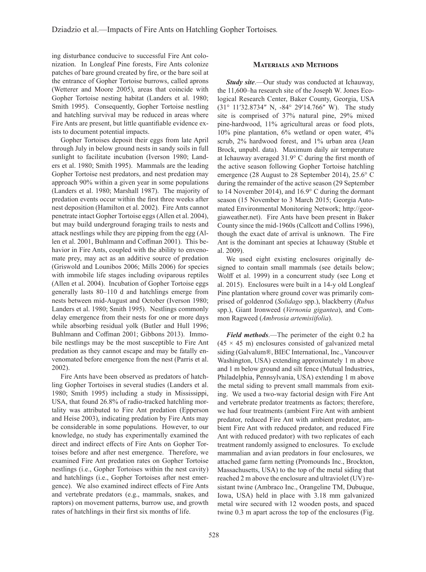ing disturbance conducive to successful Fire Ant colonization. In Longleaf Pine forests, Fire Ants colonize patches of bare ground created by fire, or the bare soil at the entrance of Gopher Tortoise burrows, called aprons (Wetterer and Moore 2005), areas that coincide with Gopher Tortoise nesting habitat (Landers et al. 1980; Smith 1995). Consequently, Gopher Tortoise nestling and hatchling survival may be reduced in areas where Fire Ants are present, but little quantifiable evidence exists to document potential impacts.

Gopher Tortoises deposit their eggs from late April through July in below ground nests in sandy soils in full sunlight to facilitate incubation (Iverson 1980; Landers et al. 1980; Smith 1995). Mammals are the leading Gopher Tortoise nest predators, and nest predation may approach 90% within a given year in some populations (Landers et al. 1980; Marshall 1987). The majority of predation events occur within the first three weeks after nest deposition (Hamilton et al. 2002). Fire Ants cannot penetrate intact Gopher Tortoise eggs (Allen et al. 2004), but may build underground foraging trails to nests and attack nestlings while they are pipping from the egg (Allen et al. 2001, Buhlmann and Coffman 2001). This behavior in Fire Ants, coupled with the ability to envenomate prey, may act as an additive source of predation (Griswold and Lounibos 2006; Mills 2006) for species with immobile life stages including oviparous reptiles (Allen et al. 2004). Incubation of Gopher Tortoise eggs generally lasts 80–110 d and hatchlings emerge from nests between mid-August and October (Iverson 1980; Landers et al. 1980; Smith 1995). Nestlings commonly delay emergence from their nests for one or more days while absorbing residual yolk (Butler and Hull 1996; Buhlmann and Coffman 2001; Gibbons 2013). Immobile nestlings may be the most susceptible to Fire Ant predation as they cannot escape and may be fatally envenomated before emergence from the nest (Parris et al. 2002).

Fire Ants have been observed as predators of hatchling Gopher Tortoises in several studies (Landers et al. 1980; Smith 1995) including a study in Mississippi, USA, that found 26.8% of radio-tracked hatchling mortality was attributed to Fire Ant predation (Epperson and Heise 2003), indicating predation by Fire Ants may be considerable in some populations. However, to our knowledge, no study has experimentally examined the direct and indirect effects of Fire Ants on Gopher Tortoises before and after nest emergence. Therefore, we examined Fire Ant predation rates on Gopher Tortoise nestlings (i.e., Gopher Tortoises within the nest cavity) and hatchlings (i.e., Gopher Tortoises after nest emergence). We also examined indirect effects of Fire Ants and vertebrate predators (e.g., mammals, snakes, and raptors) on movement patterns, burrow use, and growth rates of hatchlings in their first six months of life.

## **Materials and Methods**

*Study site*.—Our study was conducted at Ichauway, the 11,600–ha research site of the Joseph W. Jones Ecological Research Center, Baker County, Georgia, USA (31° 11′32.8734″ N, -84° 29′14.766″ W). The study site is comprised of 37% natural pine, 29% mixed pine-hardwood, 11% agricultural areas or food plots, 10% pine plantation, 6% wetland or open water, 4% scrub, 2% hardwood forest, and 1% urban area (Jean Brock, unpubl. data). Maximum daily air temperature at Ichauway averaged 31.9° C during the first month of the active season following Gopher Tortoise hatchling emergence (28 August to 28 September 2014), 25.6° C during the remainder of the active season (29 September to 14 November 2014), and 16.9° C during the dormant season (15 November to 3 March 2015; Georgia Automated Environmental Monitoring Network; http://georgiaweather.net). Fire Ants have been present in Baker County since the mid-1960s (Callcott and Collins 1996), though the exact date of arrival is unknown. The Fire Ant is the dominant ant species at Ichauway (Stuble et al. 2009).

We used eight existing enclosures originally designed to contain small mammals (see details below; Wolff et al. 1999) in a concurrent study (see Long et al. 2015). Enclosures were built in a 14-y old Longleaf Pine plantation where ground cover was primarily comprised of goldenrod (*Solidago* spp.), blackberry (*Rubus* spp.), Giant Ironweed (*Vernonia gigantea*), and Common Ragweed (*Ambrosia artemisiifolia*).

*Field methods*.—The perimeter of the eight 0.2 ha  $(45 \times 45 \text{ m})$  enclosures consisted of galvanized metal siding (Galvalum®, BIEC International, Inc., Vancouver Washington, USA) extending approximately 1 m above and 1 m below ground and silt fence (Mutual Industries, Philadelphia, Pennsylvania, USA) extending 1 m above the metal siding to prevent small mammals from exiting. We used a two-way factorial design with Fire Ant and vertebrate predator treatments as factors; therefore, we had four treatments (ambient Fire Ant with ambient predator, reduced Fire Ant with ambient predator, ambient Fire Ant with reduced predator, and reduced Fire Ant with reduced predator) with two replicates of each treatment randomly assigned to enclosures. To exclude mammalian and avian predators in four enclosures, we attached game farm netting (Promounds Inc., Brockton, Massachusetts, USA) to the top of the metal siding that reached 2 m above the enclosure and ultraviolet (UV) resistant twine (Ambraco Inc., Orangeline TM, Dubuque, Iowa, USA) held in place with 3.18 mm galvanized metal wire secured with 12 wooden posts, and spaced twine 0.3 m apart across the top of the enclosures (Fig.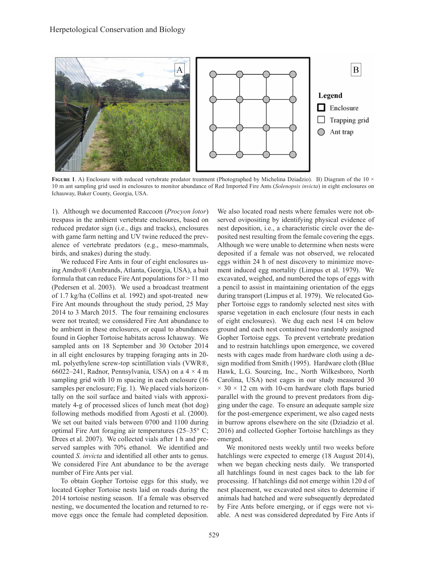

FIGURE 1. A) Enclosure with reduced vertebrate predator treatment (Photographed by Michelina Dziadzio). B) Diagram of the 10  $\times$ 10 m ant sampling grid used in enclosures to monitor abundance of Red Imported Fire Ants (*Solenopsis invicta*) in eight enclosures on Ichauway, Baker County, Georgia, USA.

1). Although we documented Raccoon (*Procyon lotor*) trespass in the ambient vertebrate enclosures, based on reduced predator sign (i.e., digs and tracks), enclosures with game farm netting and UV twine reduced the prevalence of vertebrate predators (e.g., meso-mammals, birds, and snakes) during the study.

We reduced Fire Ants in four of eight enclosures using Amdro® (Ambrands, Atlanta, Georgia, USA), a bait formula that can reduce Fire Ant populations for  $> 11$  mo (Pedersen et al. 2003). We used a broadcast treatment of 1.7 kg/ha (Collins et al. 1992) and spot-treated new Fire Ant mounds throughout the study period, 25 May 2014 to 3 March 2015. The four remaining enclosures were not treated; we considered Fire Ant abundance to be ambient in these enclosures, or equal to abundances found in Gopher Tortoise habitats across Ichauway. We sampled ants on 18 September and 30 October 2014 in all eight enclosures by trapping foraging ants in 20 mL polyethylene screw-top scintillation vials (VWR®, 66022–241, Radnor, Pennsylvania, USA) on a  $4 \times 4$  m sampling grid with 10 m spacing in each enclosure (16 samples per enclosure; Fig. 1). We placed vials horizontally on the soil surface and baited vials with approximately 4-g of processed slices of lunch meat (hot dog) following methods modified from Agosti et al. (2000). We set out baited vials between 0700 and 1100 during optimal Fire Ant foraging air temperatures (25–35° C; Drees et al. 2007). We collected vials after 1 h and preserved samples with 70% ethanol. We identified and counted *S. invicta* and identified all other ants to genus. We considered Fire Ant abundance to be the average number of Fire Ants per vial.

To obtain Gopher Tortoise eggs for this study, we located Gopher Tortoise nests laid on roads during the 2014 tortoise nesting season. If a female was observed nesting, we documented the location and returned to remove eggs once the female had completed deposition. We also located road nests where females were not observed ovipositing by identifying physical evidence of nest deposition, i.e., a characteristic circle over the deposited nest resulting from the female covering the eggs. Although we were unable to determine when nests were deposited if a female was not observed, we relocated eggs within 24 h of nest discovery to minimize movement induced egg mortality (Limpus et al. 1979). We excavated, weighed, and numbered the tops of eggs with a pencil to assist in maintaining orientation of the eggs during transport (Limpus et al. 1979). We relocated Gopher Tortoise eggs to randomly selected nest sites with sparse vegetation in each enclosure (four nests in each of eight enclosures). We dug each nest 14 cm below ground and each nest contained two randomly assigned Gopher Tortoise eggs. To prevent vertebrate predation and to restrain hatchlings upon emergence, we covered nests with cages made from hardware cloth using a design modified from Smith (1995). Hardware cloth (Blue Hawk, L.G. Sourcing, Inc., North Wilkesboro, North Carolina, USA) nest cages in our study measured 30  $\times$  30  $\times$  12 cm with 10-cm hardware cloth flaps buried parallel with the ground to prevent predators from digging under the cage. To ensure an adequate sample size for the post-emergence experiment, we also caged nests in burrow aprons elsewhere on the site (Dziadzio et al. 2016) and collected Gopher Tortoise hatchlings as they emerged.

We monitored nests weekly until two weeks before hatchlings were expected to emerge (18 August 2014), when we began checking nests daily. We transported all hatchlings found in nest cages back to the lab for processing. If hatchlings did not emerge within 120 d of nest placement, we excavated nest sites to determine if animals had hatched and were subsequently depredated by Fire Ants before emerging, or if eggs were not viable. A nest was considered depredated by Fire Ants if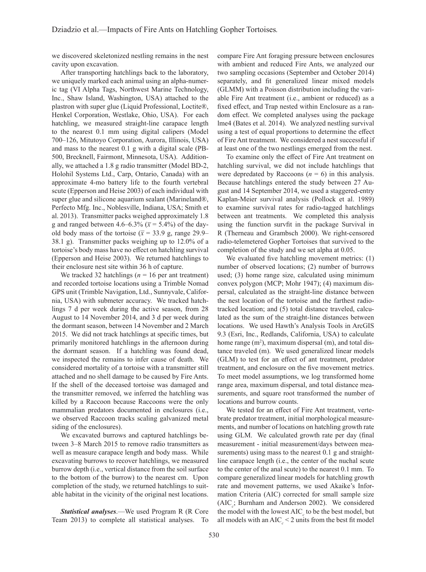we discovered skeletonized nestling remains in the nest cavity upon excavation.

After transporting hatchlings back to the laboratory, we uniquely marked each animal using an alpha-numeric tag (VI Alpha Tags, Northwest Marine Technology, Inc., Shaw Island, Washington, USA) attached to the plastron with super glue (Liquid Professional, Loctite®, Henkel Corporation, Westlake, Ohio, USA). For each hatchling, we measured straight-line carapace length to the nearest 0.1 mm using digital calipers (Model 700–126, Mitutoyo Corporation, Aurora, Illinois, USA) and mass to the nearest 0.1 g with a digital scale (PB-500, Brecknell, Fairmont, Minnesota, USA). Additionally, we attached a 1.8 g radio transmitter (Model BD-2, Holohil Systems Ltd., Carp, Ontario, Canada) with an approximate 4-mo battery life to the fourth vertebral scute (Epperson and Heise 2003) of each individual with super glue and silicone aquarium sealant (Marineland®, Perfecto Mfg. Inc., Noblesville, Indiana, USA; Smith et al. 2013). Transmitter packs weighed approximately 1.8 g and ranged between 4.6–6.3% ( $\bar{x}$  = 5.4%) of the dayold body mass of the tortoise ( $\bar{x}$  = 33.9 g, range 29.9– 38.1 g). Transmitter packs weighing up to 12.0% of a tortoise's body mass have no effect on hatchling survival (Epperson and Heise 2003). We returned hatchlings to their enclosure nest site within 36 h of capture.

We tracked 32 hatchlings  $(n = 16$  per ant treatment) and recorded tortoise locations using a Trimble Nomad GPS unit (Trimble Navigation, Ltd., Sunnyvale, California, USA) with submeter accuracy. We tracked hatchlings 7 d per week during the active season, from 28 August to 14 November 2014, and 3 d per week during the dormant season, between 14 November and 2 March 2015. We did not track hatchlings at specific times, but primarily monitored hatchlings in the afternoon during the dormant season. If a hatchling was found dead, we inspected the remains to infer cause of death. We considered mortality of a tortoise with a transmitter still attached and no shell damage to be caused by Fire Ants. If the shell of the deceased tortoise was damaged and the transmitter removed, we inferred the hatchling was killed by a Raccoon because Raccoons were the only mammalian predators documented in enclosures (i.e., we observed Raccoon tracks scaling galvanized metal siding of the enclosures).

We excavated burrows and captured hatchlings between 3–8 March 2015 to remove radio transmitters as well as measure carapace length and body mass. While excavating burrows to recover hatchlings, we measured burrow depth (i.e., vertical distance from the soil surface to the bottom of the burrow) to the nearest cm. Upon completion of the study, we returned hatchlings to suitable habitat in the vicinity of the original nest locations.

*Statistical analyses*.—We used Program R (R Core Team 2013) to complete all statistical analyses. To compare Fire Ant foraging pressure between enclosures with ambient and reduced Fire Ants, we analyzed our two sampling occasions (September and October 2014) separately, and fit generalized linear mixed models (GLMM) with a Poisson distribution including the variable Fire Ant treatment (i.e., ambient or reduced) as a fixed effect, and Trap nested within Enclosure as a random effect. We completed analyses using the package lme4 (Bates et al. 2014). We analyzed nestling survival using a test of equal proportions to determine the effect of Fire Ant treatment. We considered a nest successful if at least one of the two nestlings emerged from the nest.

To examine only the effect of Fire Ant treatment on hatchling survival, we did not include hatchlings that were depredated by Raccoons  $(n = 6)$  in this analysis. Because hatchlings entered the study between 27 August and 14 September 2014, we used a staggered-entry Kaplan-Meier survival analysis (Pollock et al. 1989) to examine survival rates for radio-tagged hatchlings between ant treatments. We completed this analysis using the function survfit in the package Survival in R (Therneau and Grambsch 2000). We right-censored radio-telemetered Gopher Tortoises that survived to the completion of the study and we set alpha at 0.05.

We evaluated five hatchling movement metrics: (1) number of observed locations; (2) number of burrows used; (3) home range size, calculated using minimum convex polygon (MCP; Mohr 1947); (4) maximum dispersal, calculated as the straight-line distance between the nest location of the tortoise and the farthest radiotracked location; and (5) total distance traveled, calculated as the sum of the straight-line distances between locations. We used Hawth's Analysis Tools in ArcGIS 9.3 (Esri, Inc., Redlands, California, USA) to calculate home range  $(m^2)$ , maximum dispersal  $(m)$ , and total distance traveled (m). We used generalized linear models (GLM) to test for an effect of ant treatment, predator treatment, and enclosure on the five movement metrics. To meet model assumptions, we log transformed home range area, maximum dispersal, and total distance measurements, and square root transformed the number of locations and burrow counts.

We tested for an effect of Fire Ant treatment, vertebrate predator treatment, initial morphological measurements, and number of locations on hatchling growth rate using GLM. We calculated growth rate per day (final measurement - initial measurement/days between measurements) using mass to the nearest 0.1 g and straightline carapace length (i.e., the center of the nuchal scute to the center of the anal scute) to the nearest 0.1 mm. To compare generalized linear models for hatchling growth rate and movement patterns, we used Akaike's Information Criteria (AIC) corrected for small sample size  $(AIC<sub>c</sub>; Burnham and Anderson 2002)$ . We considered the model with the lowest AIC<sub>*c*</sub> to be the best model, but all models with an  $AIC_c < 2$  units from the best fit model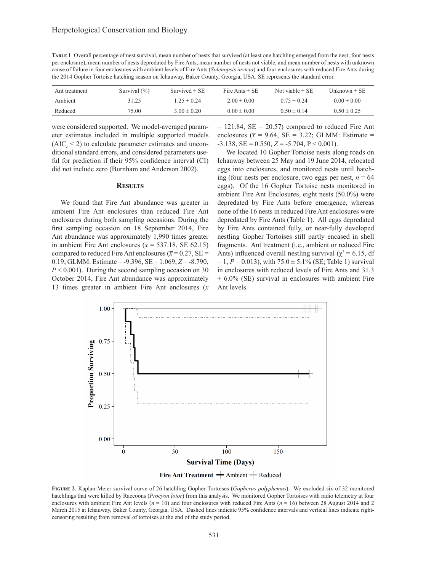**Table 1**. Overall percentage of nest survival, mean number of nests that survived (at least one hatchling emerged from the nest; four nests per enclosure), mean number of nests depredated by Fire Ants, mean number of nests not viable, and mean number of nests with unknown cause of failure in four enclosures with ambient levels of Fire Ants (*Solenopsis invicta*) and four enclosures with reduced Fire Ants during the 2014 Gopher Tortoise hatching season on Ichauway, Baker County, Georgia, USA. SE represents the standard error.

| Ant treatment | Survival $(\% )$ | Survived $\pm$ SE | Fire Ants $\pm$ SE | Not viable $\pm$ SE | Unknown $\pm$ SE |
|---------------|------------------|-------------------|--------------------|---------------------|------------------|
| Ambient       | 31.25            | $1.25 \pm 0.24$   | $2.00 \pm 0.00$    | $0.75 \pm 0.24$     | $0.00 \pm 0.00$  |
| Reduced       | 75.00            | $3.00 \pm 0.20$   | $0.00 \pm 0.00$    | $0.50 \pm 0.14$     | $0.50 \pm 0.25$  |

were considered supported. We model-averaged parameter estimates included in multiple supported models  $(AIC<sub>c</sub> < 2)$  to calculate parameter estimates and unconditional standard errors, and considered parameters useful for prediction if their 95% confidence interval (CI) did not include zero (Burnham and Anderson 2002).

#### **Results**

We found that Fire Ant abundance was greater in ambient Fire Ant enclosures than reduced Fire Ant enclosures during both sampling occasions. During the first sampling occasion on 18 September 2014, Fire Ant abundance was approximately 1,990 times greater in ambient Fire Ant enclosures ( $\bar{x}$  = 537.18, SE 62.15) compared to reduced Fire Ant enclosures ( $\bar{x}$  = 0.27, SE = 0.19; GLMM: Estimate = -9.396, SE = 1.069, *Z* = -8.790,  $P < 0.001$ ). During the second sampling occasion on 30 October 2014, Fire Ant abundance was approximately 13 times greater in ambient Fire Ant enclosures ( $\bar{x}$   $= 121.84$ , SE  $= 20.57$ ) compared to reduced Fire Ant enclosures ( $\bar{x}$  = 9.64, SE = 3.22; GLMM: Estimate =  $-3.138$ ,  $SE = 0.550$ ,  $Z = -5.704$ ,  $P < 0.001$ ).

We located 10 Gopher Tortoise nests along roads on Ichauway between 25 May and 19 June 2014, relocated eggs into enclosures, and monitored nests until hatching (four nests per enclosure, two eggs per nest,  $n = 64$ ) eggs). Of the 16 Gopher Tortoise nests monitored in ambient Fire Ant Enclosures, eight nests (50.0%) were depredated by Fire Ants before emergence, whereas none of the 16 nests in reduced Fire Ant enclosures were depredated by Fire Ants (Table 1). All eggs depredated by Fire Ants contained fully, or near-fully developed nestling Gopher Tortoises still partly encased in shell fragments. Ant treatment (i.e., ambient or reduced Fire Ants) influenced overall nestling survival ( $\chi^2$  = 6.15, df  $= 1, P = 0.013$ , with  $75.0 \pm 5.1\%$  (SE; Table 1) survival in enclosures with reduced levels of Fire Ants and 31.3  $\pm$  6.0% (SE) survival in enclosures with ambient Fire Ant levels.



Fire Ant Treatment  $\rightarrow$  Ambient  $\rightarrow$  Reduced

**Figure 2**. Kaplan-Meier survival curve of 26 hatchling Gopher Tortoises (*Gopherus polyphemus*). We excluded six of 32 monitored hatchlings that were killed by Raccoons (*Procyon lotor*) from this analysis. We monitored Gopher Tortoises with radio telemetry at four enclosures with ambient Fire Ant levels (*n* = 10) and four enclosures with reduced Fire Ants (*n* = 16) between 28 August 2014 and 2 March 2015 at Ichauway, Baker County, Georgia, USA. Dashed lines indicate 95% confidence intervals and vertical lines indicate rightcensoring resulting from removal of tortoises at the end of the study period.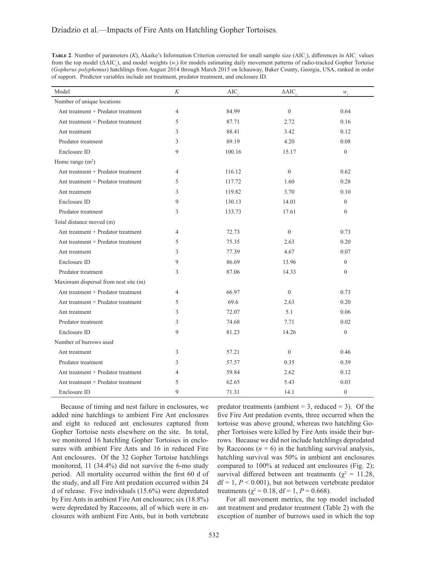| TABLE 2. Number of parameters (K), Akaike's Information Criterion corrected for small sample size (AIC), differences in AIC values           |
|----------------------------------------------------------------------------------------------------------------------------------------------|
| from the top model ( $\triangle AIC$ ), and model weights (w) for models estimating daily movement patterns of radio-tracked Gopher Tortoise |
| (Gopherus polyphemus) hatchlings from August 2014 through March 2015 on Ichauway, Baker County, Georgia, USA, ranked in order                |
| of support. Predictor variables include ant treatment, predator treatment, and enclosure ID.                                                 |

| Model                                     | K | AIC    | $\triangle AIC$ | $W_i$            |
|-------------------------------------------|---|--------|-----------------|------------------|
| Number of unique locations                |   |        |                 |                  |
| Ant treatment + Predator treatment        | 4 | 84.99  | $\overline{0}$  | 0.64             |
| Ant treatment × Predator treatment        | 5 | 87.71  | 2.72            | 0.16             |
| Ant treatment                             | 3 | 88.41  | 3.42            | 0.12             |
| Predator treatment                        | 3 | 89.19  | 4.20            | 0.08             |
| Enclosure ID                              | 9 | 100.16 | 15.17           | $\mathbf{0}$     |
| Home range $(m^2)$                        |   |        |                 |                  |
| Ant treatment + Predator treatment        | 4 | 116.12 | $\overline{0}$  | 0.62             |
| Ant treatment $\times$ Predator treatment | 5 | 117.72 | 1.60            | 0.28             |
| Ant treatment                             | 3 | 119.82 | 3.70            | 0.10             |
| Enclosure ID                              | 9 | 130.13 | 14.01           | $\overline{0}$   |
| Predator treatment                        | 3 | 133.73 | 17.61           | $\mathbf{0}$     |
| Total distance moved (m)                  |   |        |                 |                  |
| Ant treatment + Predator treatment        | 4 | 72.73  | $\overline{0}$  | 0.73             |
| Ant treatment × Predator treatment        | 5 | 75.35  | 2.63            | 0.20             |
| Ant treatment                             | 3 | 77.39  | 4.67            | 0.07             |
| Enclosure ID                              | 9 | 86.69  | 13.96           | $\theta$         |
| Predator treatment                        | 3 | 87.06  | 14.33           | $\mathbf{0}$     |
| Maximum dispersal from nest site (m)      |   |        |                 |                  |
| Ant treatment + Predator treatment        | 4 | 66.97  | $\theta$        | 0.73             |
| Ant treatment × Predator treatment        | 5 | 69.6   | 2.63            | 0.20             |
| Ant treatment                             | 3 | 72.07  | 5.1             | 0.06             |
| Predator treatment                        | 3 | 74.68  | 7.71            | 0.02             |
| Enclosure ID                              | 9 | 81.23  | 14.26           | $\boldsymbol{0}$ |
| Number of burrows used                    |   |        |                 |                  |
| Ant treatment                             | 3 | 57.21  | $\overline{0}$  | 0.46             |
| Predator treatment                        | 3 | 57.57  | 0.35            | 0.39             |
| Ant treatment + Predator treatment        | 4 | 59.84  | 2.62            | 0.12             |
| Ant treatment $\times$ Predator treatment | 5 | 62.65  | 5.43            | 0.03             |
| Enclosure ID                              | 9 | 71.31  | 14.1            | $\mathbf{0}$     |

Because of timing and nest failure in enclosures, we added nine hatchlings to ambient Fire Ant enclosures and eight to reduced ant enclosures captured from Gopher Tortoise nests elsewhere on the site. In total, we monitored 16 hatchling Gopher Tortoises in enclosures with ambient Fire Ants and 16 in reduced Fire Ant enclosures. Of the 32 Gopher Tortoise hatchlings monitored, 11 (34.4%) did not survive the 6-mo study period. All mortality occurred within the first 60 d of the study, and all Fire Ant predation occurred within 24 d of release. Five individuals (15.6%) were depredated by Fire Ants in ambient Fire Ant enclosures; six (18.8%) were depredated by Raccoons, all of which were in enclosures with ambient Fire Ants, but in both vertebrate

predator treatments (ambient  $= 3$ , reduced  $= 3$ ). Of the five Fire Ant predation events, three occurred when the tortoise was above ground, whereas two hatchling Gopher Tortoises were killed by Fire Ants inside their burrows. Because we did not include hatchlings depredated by Raccoons  $(n = 6)$  in the hatchling survival analysis, hatchling survival was 50% in ambient ant enclosures compared to 100% at reduced ant enclosures (Fig. 2); survival differed between ant treatments ( $\chi^2 = 11.28$ ,  $df = 1, P < 0.001$ , but not between vertebrate predator treatments ( $\chi^2 = 0.18$ , df = 1, P = 0.668).

For all movement metrics, the top model included ant treatment and predator treatment (Table 2) with the exception of number of burrows used in which the top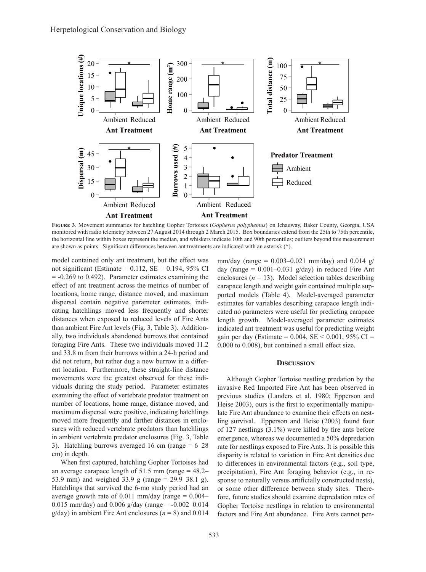

**Figure 3**. Movement summaries for hatchling Gopher Tortoises (*Gopherus polyphemus*) on Ichauway, Baker County, Georgia, USA monitored with radio telemetry between 27 August 2014 through 2 March 2015. Box boundaries extend from the 25th to 75th percentile, the horizontal line within boxes represent the median, and whiskers indicate 10th and 90th percentiles; outliers beyond this measurement are shown as points. Significant differences between ant treatments are indicated with an asterisk (\*).

model contained only ant treatment, but the effect was not significant (Estimate =  $0.112$ , SE =  $0.194$ , 95% CI  $= -0.269$  to 0.492). Parameter estimates examining the effect of ant treatment across the metrics of number of locations, home range, distance moved, and maximum dispersal contain negative parameter estimates, indicating hatchlings moved less frequently and shorter distances when exposed to reduced levels of Fire Ants than ambient Fire Ant levels (Fig. 3, Table 3). Additionally, two individuals abandoned burrows that contained foraging Fire Ants. These two individuals moved 11.2 and 33.8 m from their burrows within a 24-h period and did not return, but rather dug a new burrow in a different location. Furthermore, these straight-line distance movements were the greatest observed for these individuals during the study period. Parameter estimates examining the effect of vertebrate predator treatment on number of locations, home range, distance moved, and maximum dispersal were positive, indicating hatchlings moved more frequently and farther distances in enclosures with reduced vertebrate predators than hatchlings in ambient vertebrate predator enclosures (Fig. 3, Table 3). Hatchling burrows averaged 16 cm (range  $= 6-28$ cm) in depth.

When first captured, hatchling Gopher Tortoises had an average carapace length of  $51.5$  mm (range  $= 48.2 -$ 53.9 mm) and weighed 33.9 g (range = 29.9–38.1 g). Hatchlings that survived the 6-mo study period had an average growth rate of  $0.011$  mm/day (range =  $0.004-$ 0.015 mm/day) and 0.006 g/day (range =  $-0.002 - 0.014$ ) g/day) in ambient Fire Ant enclosures  $(n = 8)$  and 0.014

mm/day (range =  $0.003 - 0.021$  mm/day) and  $0.014$  g/ day (range =  $0.001 - 0.031$  g/day) in reduced Fire Ant enclosures  $(n = 13)$ . Model selection tables describing carapace length and weight gain contained multiple supported models (Table 4). Model-averaged parameter estimates for variables describing carapace length indicated no parameters were useful for predicting carapace length growth. Model-averaged parameter estimates indicated ant treatment was useful for predicting weight gain per day (Estimate =  $0.004$ , SE <  $0.001$ , 95% CI = 0.000 to 0.008), but contained a small effect size.

#### **Discussion**

Although Gopher Tortoise nestling predation by the invasive Red Imported Fire Ant has been observed in previous studies (Landers et al. 1980; Epperson and Heise 2003), ours is the first to experimentally manipulate Fire Ant abundance to examine their effects on nestling survival. Epperson and Heise (2003) found four of 127 nestlings (3.1%) were killed by fire ants before emergence, whereas we documented a 50% depredation rate for nestlings exposed to Fire Ants. It is possible this disparity is related to variation in Fire Ant densities due to differences in environmental factors (e.g., soil type, precipitation), Fire Ant foraging behavior (e.g., in response to naturally versus artificially constructed nests), or some other difference between study sites. Therefore, future studies should examine depredation rates of Gopher Tortoise nestlings in relation to environmental factors and Fire Ant abundance. Fire Ants cannot pen-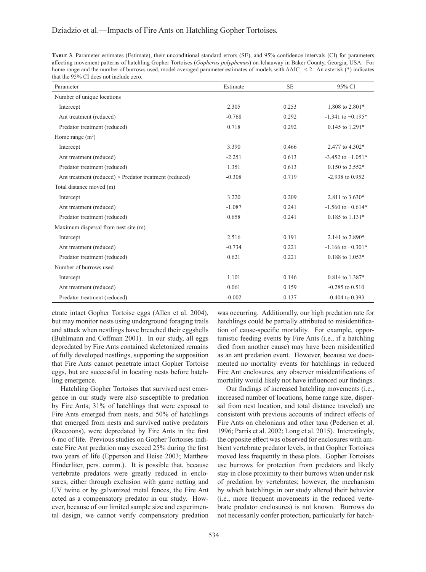| TABLE 3. Parameter estimates (Estimate), their unconditional standard errors (SE), and 95% confidence intervals (CI) for parameters          |
|----------------------------------------------------------------------------------------------------------------------------------------------|
| affecting movement patterns of hatchling Gopher Tortoises (Gopherus polyphemus) on Ichauway in Baker County, Georgia, USA. For               |
| home range and the number of burrows used, model averaged parameter estimates of models with $\Delta AIC \leq 2$ . An asterisk (*) indicates |
| that the 95% CI does not include zero.                                                                                                       |

| Parameter                                                     | Estimate | <b>SE</b> | 95% CI                |
|---------------------------------------------------------------|----------|-----------|-----------------------|
| Number of unique locations                                    |          |           |                       |
| Intercept                                                     | 2.305    | 0.253     | 1.808 to 2.801*       |
| Ant treatment (reduced)                                       | $-0.768$ | 0.292     | $-1.341$ to $-0.195*$ |
| Predator treatment (reduced)                                  | 0.718    | 0.292     | 0.145 to 1.291*       |
| Home range $(m^2)$                                            |          |           |                       |
| Intercept                                                     | 3.390    | 0.466     | 2.477 to 4.302*       |
| Ant treatment (reduced)                                       | $-2.251$ | 0.613     | $-3.452$ to $-1.051*$ |
| Predator treatment (reduced)                                  | 1.351    | 0.613     | $0.150$ to $2.552*$   |
| Ant treatment (reduced) $\times$ Predator treatment (reduced) | $-0.308$ | 0.719     | $-2.938$ to 0.952     |
| Total distance moved (m)                                      |          |           |                       |
| Intercept                                                     | 3.220    | 0.209     | 2.811 to 3.630*       |
| Ant treatment (reduced)                                       | $-1.087$ | 0.241     | $-1.560$ to $-0.614*$ |
| Predator treatment (reduced)                                  | 0.658    | 0.241     | $0.185$ to $1.131*$   |
| Maximum dispersal from nest site (m)                          |          |           |                       |
| Intercept                                                     | 2.516    | 0.191     | 2.141 to 2.890*       |
| Ant treatment (reduced)                                       | $-0.734$ | 0.221     | $-1.166$ to $-0.301*$ |
| Predator treatment (reduced)                                  | 0.621    | 0.221     | $0.188$ to $1.053*$   |
| Number of burrows used                                        |          |           |                       |
| Intercept                                                     | 1.101    | 0.146     | 0.814 to 1.387*       |
| Ant treatment (reduced)                                       | 0.061    | 0.159     | $-0.285$ to $0.510$   |
| Predator treatment (reduced)                                  | $-0.002$ | 0.137     | $-0.404$ to 0.393     |

etrate intact Gopher Tortoise eggs (Allen et al. 2004), but may monitor nests using underground foraging trails and attack when nestlings have breached their eggshells (Buhlmann and Coffman 2001). In our study, all eggs depredated by Fire Ants contained skeletonized remains of fully developed nestlings, supporting the supposition that Fire Ants cannot penetrate intact Gopher Tortoise eggs, but are successful in locating nests before hatchling emergence.

Hatchling Gopher Tortoises that survived nest emergence in our study were also susceptible to predation by Fire Ants; 31% of hatchlings that were exposed to Fire Ants emerged from nests, and 50% of hatchlings that emerged from nests and survived native predators (Raccoons), were depredated by Fire Ants in the first 6-mo of life. Previous studies on Gopher Tortoises indicate Fire Ant predation may exceed 25% during the first two years of life (Epperson and Heise 2003; Matthew Hinderliter, pers. comm.). It is possible that, because vertebrate predators were greatly reduced in enclosures, either through exclusion with game netting and UV twine or by galvanized metal fences, the Fire Ant acted as a compensatory predator in our study. However, because of our limited sample size and experimental design, we cannot verify compensatory predation

was occurring. Additionally, our high predation rate for hatchlings could be partially attributed to misidentification of cause-specific mortality. For example, opportunistic feeding events by Fire Ants (i.e., if a hatchling died from another cause) may have been misidentified as an ant predation event. However, because we documented no mortality events for hatchlings in reduced Fire Ant enclosures, any observer misidentifications of mortality would likely not have influenced our findings.

Our findings of increased hatchling movements (i.e., increased number of locations, home range size, dispersal from nest location, and total distance traveled) are consistent with previous accounts of indirect effects of Fire Ants on chelonians and other taxa (Pedersen et al. 1996; Parris et al. 2002; Long et al. 2015). Interestingly, the opposite effect was observed for enclosures with ambient vertebrate predator levels, in that Gopher Tortoises moved less frequently in these plots. Gopher Tortoises use burrows for protection from predators and likely stay in close proximity to their burrows when under risk of predation by vertebrates; however, the mechanism by which hatchlings in our study altered their behavior (i.e., more frequent movements in the reduced vertebrate predator enclosures) is not known. Burrows do not necessarily confer protection, particularly for hatch-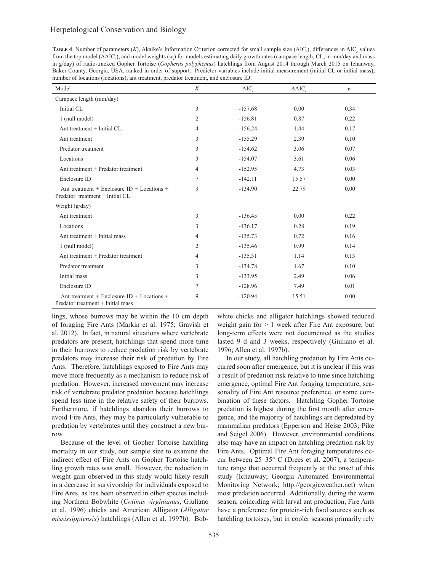# Herpetological Conservation and Biology

**TABLE 4.** Number of parameters  $(K)$ , Akaike's Information Criterion corrected for small sample size  $(AIC_c)$ , differences in  $AIC_c$  values from the top model (ΔAIC<sub>c</sub>), and model weights (*w*<sub>i</sub>) for models estimating daily growth rates (carapace length, CL, in mm/day and mass in g/day) of radio-tracked Gopher Tortoise (*Gopherus polyphemus*) hatchlings from August 2014 through March 2015 on Ichauway, Baker County, Georgia, USA, ranked in order of support. Predictor variables include initial measurement (initial CL or initial mass), number of locations (locations), ant treatment, predator treatment, and enclosure ID.

| Model                                                                           | K              | AIC       | $\triangle AIC$ | $W_i$ |
|---------------------------------------------------------------------------------|----------------|-----------|-----------------|-------|
| Carapace length (mm/day)                                                        |                |           |                 |       |
| Initial CL                                                                      | 3              | $-157.68$ | 0.00            | 0.34  |
| 1 (null model)                                                                  | $\overline{2}$ | $-156.81$ | 0.87            | 0.22  |
| Ant treatment + Initial CL                                                      | 4              | $-156.24$ | 1.44            | 0.17  |
| Ant treatment                                                                   | 3              | $-155.29$ | 2.39            | 0.10  |
| Predator treatment                                                              | 3              | $-154.62$ | 3.06            | 0.07  |
| Locations                                                                       | 3              | $-154.07$ | 3.61            | 0.06  |
| Ant treatment + Predator treatment                                              | 4              | $-152.95$ | 4.73            | 0.03  |
| Enclosure ID                                                                    | 7              | $-142.11$ | 15.57           | 0.00  |
| Ant treatment + Enclosure ID + Locations +<br>Predator treatment + Initial CL   | 9              | $-134.90$ | 22.79           | 0.00  |
| Weight $(g/day)$                                                                |                |           |                 |       |
| Ant treatment                                                                   | 3              | $-136.45$ | 0.00            | 0.22  |
| Locations                                                                       | 3              | $-136.17$ | 0.28            | 0.19  |
| Ant treatment + Initial mass                                                    | 4              | $-135.73$ | 0.72            | 0.16  |
| 1 (null model)                                                                  | 2              | $-135.46$ | 0.99            | 0.14  |
| Ant treatment + Predator treatment                                              | 4              | $-135.31$ | 1.14            | 0.13  |
| Predator treatment                                                              | 3              | $-134.78$ | 1.67            | 0.10  |
| Initial mass                                                                    | 3              | $-133.95$ | 2.49            | 0.06  |
| Enclosure ID                                                                    | 7              | $-128.96$ | 7.49            | 0.01  |
| Ant treatment + Enclosure ID + Locations +<br>Predator treatment + Initial mass | 9              | $-120.94$ | 15.51           | 0.00  |

lings, whose burrows may be within the 10 cm depth of foraging Fire Ants (Markin et al. 1975; Gravish et al. 2012). In fact, in natural situations where vertebrate predators are present, hatchlings that spend more time in their burrows to reduce predation risk by vertebrate predators may increase their risk of predation by Fire Ants. Therefore, hatchlings exposed to Fire Ants may move more frequently as a mechanism to reduce risk of predation. However, increased movement may increase risk of vertebrate predator predation because hatchlings spend less time in the relative safety of their burrows. Furthermore, if hatchlings abandon their burrows to avoid Fire Ants, they may be particularly vulnerable to predation by vertebrates until they construct a new burrow.

Because of the level of Gopher Tortoise hatchling mortality in our study, our sample size to examine the indirect effect of Fire Ants on Gopher Tortoise hatchling growth rates was small. However, the reduction in weight gain observed in this study would likely result in a decrease in survivorship for individuals exposed to Fire Ants, as has been observed in other species including Northern Bobwhite (*Colinus virginianus*, Giuliano et al. 1996) chicks and American Alligator (*Alligator mississippiensis*) hatchlings (Allen et al. 1997b). Bobwhite chicks and alligator hatchlings showed reduced weight gain for > 1 week after Fire Ant exposure, but long-term effects were not documented as the studies lasted 9 d and 3 weeks, respectively (Giuliano et al. 1996; Allen et al. 1997b).

In our study, all hatchling predation by Fire Ants occurred soon after emergence, but it is unclear if this was a result of predation risk relative to time since hatchling emergence, optimal Fire Ant foraging temperature, seasonality of Fire Ant resource preference, or some combination of these factors. Hatchling Gopher Tortoise predation is highest during the first month after emergence, and the majority of hatchlings are depredated by mammalian predators (Epperson and Heise 2003; Pike and Seigel 2006). However, environmental conditions also may have an impact on hatchling predation risk by Fire Ants. Optimal Fire Ant foraging temperatures occur between 25–35° C (Drees et al. 2007), a temperature range that occurred frequently at the onset of this study (Ichauway; Georgia Automated Environmental Monitoring Network; http://georgiaweather.net) when most predation occurred. Additionally, during the warm season, coinciding with larval ant production, Fire Ants have a preference for protein-rich food sources such as hatchling tortoises, but in cooler seasons primarily rely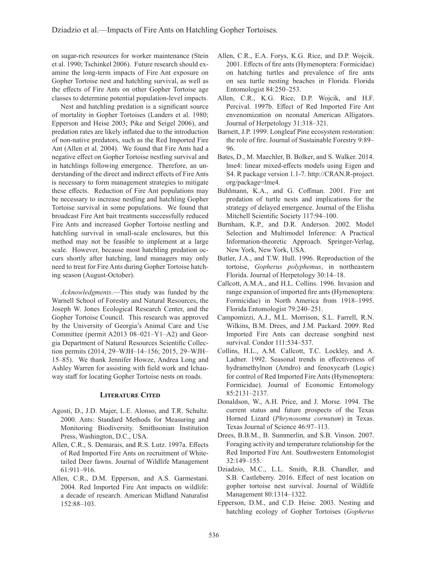on sugar-rich resources for worker maintenance (Stein et al. 1990; Tschinkel 2006). Future research should examine the long-term impacts of Fire Ant exposure on Gopher Tortoise nest and hatchling survival, as well as the effects of Fire Ants on other Gopher Tortoise age classes to determine potential population-level impacts.

Nest and hatchling predation is a significant source of mortality in Gopher Tortoises (Landers et al. 1980; Epperson and Heise 2003; Pike and Seigel 2006), and predation rates are likely inflated due to the introduction of non-native predators, such as the Red Imported Fire Ant (Allen et al. 2004). We found that Fire Ants had a negative effect on Gopher Tortoise nestling survival and in hatchlings following emergence. Therefore, an understanding of the direct and indirect effects of Fire Ants is necessary to form management strategies to mitigate these effects. Reduction of Fire Ant populations may be necessary to increase nestling and hatchling Gopher Tortoise survival in some populations. We found that broadcast Fire Ant bait treatments successfully reduced Fire Ants and increased Gopher Tortoise nestling and hatchling survival in small-scale enclosures, but this method may not be feasible to implement at a large scale. However, because most hatchling predation occurs shortly after hatching, land managers may only need to treat for Fire Ants during Gopher Tortoise hatching season (August-October).

*Acknowledgments*.—This study was funded by the Warnell School of Forestry and Natural Resources, the Joseph W. Jones Ecological Research Center, and the Gopher Tortoise Council. This research was approved by the University of Georgia's Animal Care and Use Committee (permit A2013 08–021–Y1–A2) and Georgia Department of Natural Resources Scientific Collection permits (2014, 29–WJH–14–156; 2015, 29–WJH– 15–85). We thank Jennifer Howze, Andrea Long and Ashley Warren for assisting with field work and Ichauway staff for locating Gopher Tortoise nests on roads.

## **Literature Cited**

- Agosti, D., J.D. Majer, L.E. Alonso, and T.R. Schultz. 2000. Ants: Standard Methods for Measuring and Monitoring Biodiversity. Smithsonian Institution Press, Washington, D.C., USA.
- Allen, C.R., S. Demarais, and R.S. Lutz. 1997a. Effects of Red Imported Fire Ants on recruitment of Whitetailed Deer fawns. Journal of Wildlife Management 61:911–916.
- Allen, C.R., D.M. Epperson, and A.S. Garmestani. 2004. Red Imported Fire Ant impacts on wildlife: a decade of research. American Midland Naturalist 152:88–103.
- Allen, C.R., E.A. Forys, K.G. Rice, and D.P. Wojcik. 2001. Effects of fire ants (Hymenoptera: Formicidae) on hatching turtles and prevalence of fire ants on sea turtle nesting beaches in Florida. Florida Entomologist 84:250–253.
- Allen, C.R., K.G. Rice, D.P. Wojcik, and H.F. Percival. 1997b. Effect of Red Imported Fire Ant envenomization on neonatal American Alligators. Journal of Herpetology 31:318–321.
- Barnett, J.P. 1999. Longleaf Pine ecosystem restoration: the role of fire. Journal of Sustainable Forestry 9:89– 96.
- Bates, D., M. Maechler, B. Bolker, and S. Walker. 2014. lme4: linear mixed-effects models using Eigen and S4. R package version 1.1-7. http://CRAN.R-project. org/package=lme4.
- Buhlmann, K.A., and G. Coffman. 2001. Fire ant predation of turtle nests and implications for the strategy of delayed emergence. Journal of the Elisha Mitchell Scientific Society 117:94–100.
- Burnham, K.P., and D.R. Anderson. 2002. Model Selection and Multimodel Inference: A Practical Information-theoretic Approach. Springer-Verlag, New York, New York, USA.
- Butler, J.A., and T.W. Hull. 1996. Reproduction of the tortoise, *Gopherus polyphemus*, in northeastern Florida. Journal of Herpetology 30:14–18.
- Callcott, A.M.A., and H.L. Collins. 1996. Invasion and range expansion of imported fire ants (Hymenoptera: Formicidae) in North America from 1918–1995. Florida Entomologist 79:240–251.
- Campomizzi, A.J., M.L. Morrison, S.L. Farrell, R.N. Wilkins, B.M. Drees, and J.M. Packard. 2009. Red Imported Fire Ants can decrease songbird nest survival. Condor 111:534–537.
- Collins, H.L., A.M. Callcott, T.C. Lockley, and A. Ladner. 1992. Seasonal trends in effectiveness of hydramethylnon (Amdro) and fenoxycarb (Logic) for control of Red Imported Fire Ants (Hymenoptera: Formicidae). Journal of Economic Entomology 85:2131–2137.
- Donaldson, W., A.H. Price, and J. Morse. 1994. The current status and future prospects of the Texas Horned Lizard (*Phrynosoma cornutum*) in Texas. Texas Journal of Science 46:97–113.
- Drees, B.B.M., B. Summerlin, and S.B. Vinson. 2007. Foraging activity and temperature relationship for the Red Imported Fire Ant. Southwestern Entomologist 32:149–155.
- Dziadzio, M.C., L.L. Smith, R.B. Chandler, and S.B. Castleberry. 2016. Effect of nest location on gopher tortoise nest survival. Journal of Wildlife Management 80:1314–1322.
- Epperson, D.M., and C.D. Heise. 2003. Nesting and hatchling ecology of Gopher Tortoises (*Gopherus*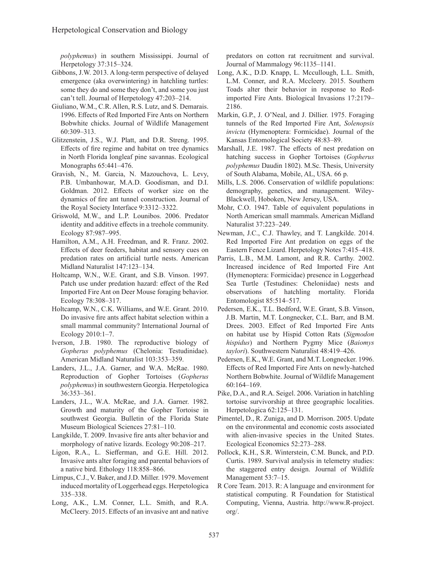*polyphemus*) in southern Mississippi. Journal of Herpetology 37:315–324.

- Gibbons, J.W. 2013. A long-term perspective of delayed emergence (aka overwintering) in hatchling turtles: some they do and some they don't, and some you just can't tell. Journal of Herpetology 47:203–214.
- Giuliano, W.M., C.R. Allen, R.S. Lutz, and S. Demarais. 1996. Effects of Red Imported Fire Ants on Northern Bobwhite chicks. Journal of Wildlife Management 60:309–313.
- Glitzenstein, J.S., W.J. Platt, and D.R. Streng. 1995. Effects of fire regime and habitat on tree dynamics in North Florida longleaf pine savannas. Ecological Monographs 65:441–476.
- Gravish, N., M. Garcia, N. Mazouchova, L. Levy, P.B. Umbanhowar, M.A.D. Goodisman, and D.I. Goldman. 2012. Effects of worker size on the dynamics of fire ant tunnel construction. Journal of the Royal Society Interface 9:3312–3322.
- Griswold, M.W., and L.P. Lounibos. 2006. Predator identity and additive effects in a treehole community. Ecology 87:987–995.
- Hamilton, A.M., A.H. Freedman, and R. Franz. 2002. Effects of deer feeders, habitat and sensory cues on predation rates on artificial turtle nests. American Midland Naturalist 147:123–134.
- Holtcamp, W.N., W.E. Grant, and S.B. Vinson. 1997. Patch use under predation hazard: effect of the Red Imported Fire Ant on Deer Mouse foraging behavior. Ecology 78:308–317.
- Holtcamp, W.N., C.K. Williams, and W.E. Grant. 2010. Do invasive fire ants affect habitat selection within a small mammal community? International Journal of Ecology 2010:1–7.
- Iverson, J.B. 1980. The reproductive biology of *Gopherus polyphemus* (Chelonia: Testudinidae). American Midland Naturalist 103:353–359.
- Landers, J.L., J.A. Garner, and W.A. McRae. 1980. Reproduction of Gopher Tortoises (*Gopherus polyphemus*) in southwestern Georgia. Herpetologica 36:353–361.
- Landers, J.L., W.A. McRae, and J.A. Garner. 1982. Growth and maturity of the Gopher Tortoise in southwest Georgia. Bulletin of the Florida State Museum Biological Sciences 27:81–110.
- Langkilde, T. 2009. Invasive fire ants alter behavior and morphology of native lizards. Ecology 90:208–217.
- Ligon, R.A., L. Siefferman, and G.E. Hill. 2012. Invasive ants alter foraging and parental behaviors of a native bird. Ethology 118:858–866.
- Limpus, C.J., V. Baker, and J.D. Miller. 1979. Movement induced mortality of Loggerhead eggs. Herpetologica 335–338.
- Long, A.K., L.M. Conner, L.L. Smith, and R.A. McCleery. 2015. Effects of an invasive ant and native

predators on cotton rat recruitment and survival. Journal of Mammalogy 96:1135–1141.

- Long, A.K., D.D. Knapp, L. Mccullough, L.L. Smith, L.M. Conner, and R.A. Mccleery. 2015. Southern Toads alter their behavior in response to Redimported Fire Ants. Biological Invasions 17:2179– 2186.
- Markin, G.P., J. O'Neal, and J. Dillier. 1975. Foraging tunnels of the Red Imported Fire Ant, *Solenopsis invicta* (Hymenoptera: Formicidae). Journal of the Kansas Entomological Society 48:83–89.
- Marshall, J.E. 1987. The effects of nest predation on hatching success in Gopher Tortoises (*Gopherus polyphemus* Daudin 1802). M.Sc. Thesis, University of South Alabama, Mobile, AL, USA. 66 p.
- Mills, L.S. 2006. Conservation of wildlife populations: demography, genetics, and management. Wiley-Blackwell, Hoboken, New Jersey, USA.
- Mohr, C.O. 1947. Table of equivalent populations in North American small mammals. American Midland Naturalist 37:223–249.
- Newman, J.C., C.J. Thawley, and T. Langkilde. 2014. Red Imported Fire Ant predation on eggs of the Eastern Fence Lizard. Herpetology Notes 7:415–418.
- Parris, L.B., M.M. Lamont, and R.R. Carthy. 2002. Increased incidence of Red Imported Fire Ant (Hymenoptera: Formicidae) presence in Loggerhead Sea Turtle (Testudines: Cheloniidae) nests and observations of hatchling mortality. Florida Entomologist 85:514–517.
- Pedersen, E.K., T.L. Bedford, W.E. Grant, S.B. Vinson, J.B. Martin, M.T. Longnecker, C.L. Barr, and B.M. Drees. 2003. Effect of Red Imported Fire Ants on habitat use by Hispid Cotton Rats (*Sigmodon hispidus*) and Northern Pygmy Mice (*Baiomys taylori*). Southwestern Naturalist 48:419–426.
- Pedersen, E.K., W.E. Grant, and M.T. Longnecker. 1996. Effects of Red Imported Fire Ants on newly-hatched Northern Bobwhite. Journal of Wildlife Management 60:164–169.
- Pike, D.A., and R.A. Seigel. 2006. Variation in hatchling tortoise survivorship at three geographic localities. Herpetologica 62:125–131.
- Pimentel, D., R. Zuniga, and D. Morrison. 2005. Update on the environmental and economic costs associated with alien-invasive species in the United States. Ecological Economics 52:273–288.
- Pollock, K.H., S.R. Winterstein, C.M. Bunck, and P.D. Curtis. 1989. Survival analysis in telemetry studies: the staggered entry design. Journal of Wildlife Management 53:7–15.
- R Core Team. 2013. R: A language and environment for statistical computing. R Foundation for Statistical Computing, Vienna, Austria. http://www.R-project. org/.